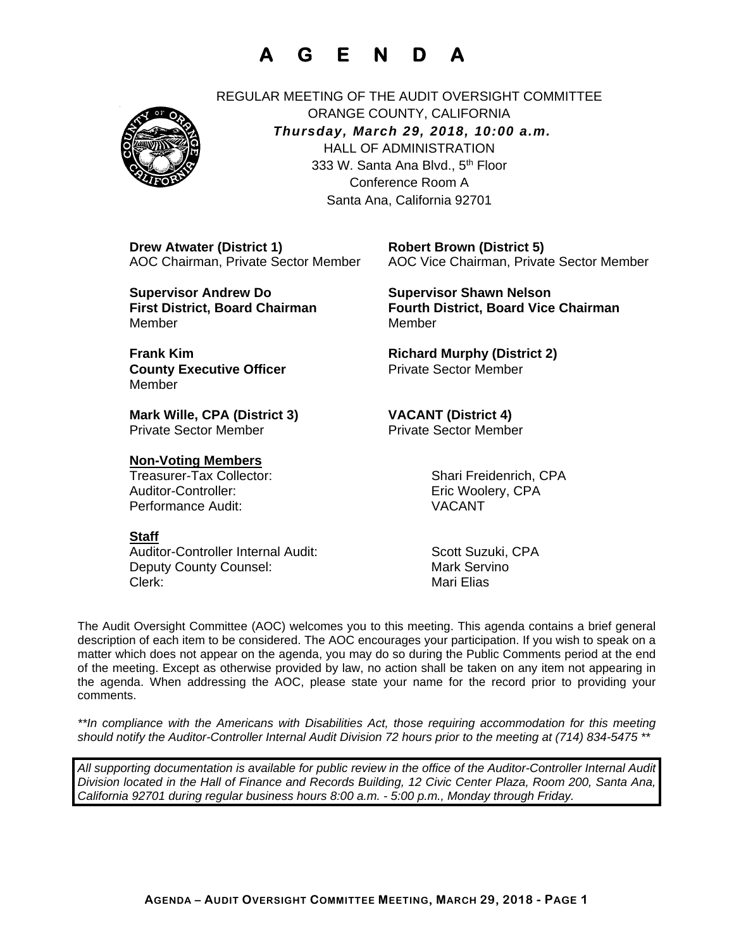# **A G E N D A**



REGULAR MEETING OF THE AUDIT OVERSIGHT COMMITTEE ORANGE COUNTY, CALIFORNIA *Thursday, March 29, 2018, 10:00 a.m.* HALL OF ADMINISTRATION 333 W. Santa Ana Blvd., 5<sup>th</sup> Floor Conference Room A Santa Ana, California 92701

 **Drew Atwater (District 1) Robert Brown (District 5)** 

 **Supervisor Andrew Do Supervisor Shawn Nelson** MemberMember

> **County Executive Officer Private Sector Member** Member

**Mark Wille, CPA (District 3) VACANT (District 4)** 

### **Non-Voting Members**

Treasurer-Tax Collector: Shari Freidenrich, CPA Auditor-Controller: example and the example of the Eric Woolery, CPA Performance Audit: VACANT

### **Staff**

Auditor-Controller Internal Audit: Scott Suzuki, CPA Deputy County Counsel: Mark Servino Clerk: Mari Elias

AOC Chairman, Private Sector Member AOC Vice Chairman, Private Sector Member

First District, Board Chairman **Fourth District, Board Vice Chairman** 

**Frank Kim** Richard Murphy (District 2)

**Private Sector Member** 

The Audit Oversight Committee (AOC) welcomes you to this meeting. This agenda contains a brief general description of each item to be considered. The AOC encourages your participation. If you wish to speak on a matter which does not appear on the agenda, you may do so during the Public Comments period at the end of the meeting. Except as otherwise provided by law, no action shall be taken on any item not appearing in the agenda. When addressing the AOC, please state your name for the record prior to providing your comments.

*\*\*In compliance with the Americans with Disabilities Act, those requiring accommodation for this meeting should notify the Auditor-Controller Internal Audit Division 72 hours prior to the meeting at (714) 834-5475 \*\** 

*All supporting documentation is available for public review in the office of the Auditor-Controller Internal Audit Division located in the Hall of Finance and Records Building, 12 Civic Center Plaza, Room 200, Santa Ana, California 92701 during regular business hours 8:00 a.m. - 5:00 p.m., Monday through Friday.*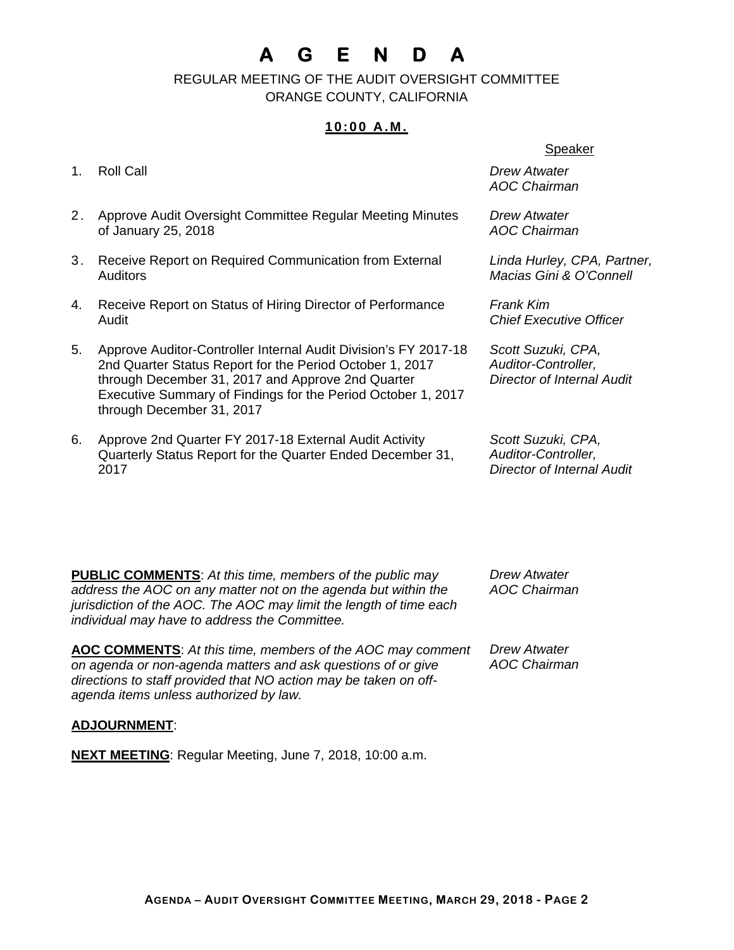# **A G E N D A**

 REGULAR MEETING OF THE AUDIT OVERSIGHT COMMITTEE ORANGE COUNTY, CALIFORNIA

### **10:00 A.M.**

- 1. Roll Call *Drew Atwater*
- 2. Approve Audit Oversight Committee Regular Meeting Minutes of January 25, 2018
- 3. Receive Report on Required Communication from External **Auditors**
- 4. Receive Report on Status of Hiring Director of Performance Audit
- 5. Approve Auditor-Controller Internal Audit Division's FY 2017-18 2nd Quarter Status Report for the Period October 1, 2017 through December 31, 2017 and Approve 2nd Quarter Executive Summary of Findings for the Period October 1, 2017 through December 31, 2017
- 6. Approve 2nd Quarter FY 2017-18 External Audit Activity Quarterly Status Report for the Quarter Ended December 31, 2017

#### Speaker

*AOC Chairman* 

*Drew Atwater AOC Chairman* 

*Linda Hurley, CPA, Partner, Macias Gini & O'Connell* 

*Frank Kim Chief Executive Officer* 

*Scott Suzuki, CPA, Auditor-Controller, Director of Internal Audit*

*Scott Suzuki, CPA, Auditor-Controller, Director of Internal Audit*

**PUBLIC COMMENTS**: *At this time, members of the public may address the AOC on any matter not on the agenda but within the jurisdiction of the AOC. The AOC may limit the length of time each individual may have to address the Committee.*

**AOC COMMENTS**: *At this time, members of the AOC may comment on agenda or non-agenda matters and ask questions of or give directions to staff provided that NO action may be taken on offagenda items unless authorized by law.*

*Drew Atwater AOC Chairman* 

*Drew Atwater AOC Chairman* 

### **ADJOURNMENT**:

**NEXT MEETING**: Regular Meeting, June 7, 2018, 10:00 a.m.